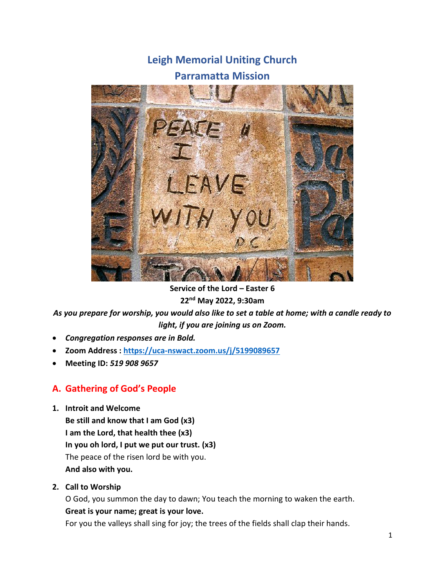# **Leigh Memorial Uniting Church**

# **Parramatta Mission**



**Service of the Lord – Easter 6 22nd May 2022, 9:30am**

*As you prepare for worship, you would also like to set a table at home; with a candle ready to light, if you are joining us on Zoom.*

- *Congregation responses are in Bold.*
- **Zoom Address :<https://uca-nswact.zoom.us/j/5199089657>**
- **Meeting ID:** *519 908 9657*

# **A. Gathering of God's People**

**1. Introit and Welcome**

**Be still and know that I am God (x3) I am the Lord, that health thee (x3) In you oh lord, I put we put our trust. (x3)** The peace of the risen lord be with you. **And also with you.**

**2. Call to Worship**

O God, you summon the day to dawn; You teach the morning to waken the earth.

# **Great is your name; great is your love.**

For you the valleys shall sing for joy; the trees of the fields shall clap their hands.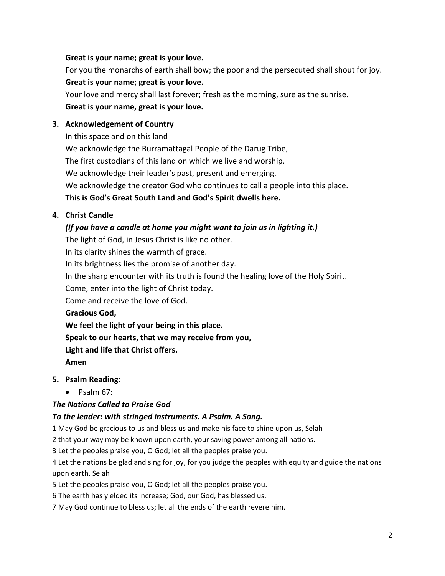## **Great is your name; great is your love.**

For you the monarchs of earth shall bow; the poor and the persecuted shall shout for joy. **Great is your name; great is your love.**

Your love and mercy shall last forever; fresh as the morning, sure as the sunrise. **Great is your name, great is your love.**

## **3. Acknowledgement of Country**

In this space and on this land

We acknowledge the Burramattagal People of the Darug Tribe,

The first custodians of this land on which we live and worship.

We acknowledge their leader's past, present and emerging.

We acknowledge the creator God who continues to call a people into this place.

# **This is God's Great South Land and God's Spirit dwells here.**

## **4. Christ Candle**

## *(If you have a candle at home you might want to join us in lighting it.)*

The light of God, in Jesus Christ is like no other.

In its clarity shines the warmth of grace.

In its brightness lies the promise of another day.

In the sharp encounter with its truth is found the healing love of the Holy Spirit.

Come, enter into the light of Christ today.

Come and receive the love of God.

**Gracious God,**

**We feel the light of your being in this place.**

**Speak to our hearts, that we may receive from you,**

**Light and life that Christ offers.**

**Amen**

# **5. Psalm Reading:**

• Psalm 67:

# *The Nations Called to Praise God*

# *To the leader: with stringed instruments. A Psalm. A Song.*

1 May God be gracious to us and bless us and make his face to shine upon us, Selah

2 that your way may be known upon earth, your saving power among all nations.

3 Let the peoples praise you, O God; let all the peoples praise you.

4 Let the nations be glad and sing for joy, for you judge the peoples with equity and guide the nations upon earth. Selah

5 Let the peoples praise you, O God; let all the peoples praise you.

6 The earth has yielded its increase; God, our God, has blessed us.

7 May God continue to bless us; let all the ends of the earth revere him.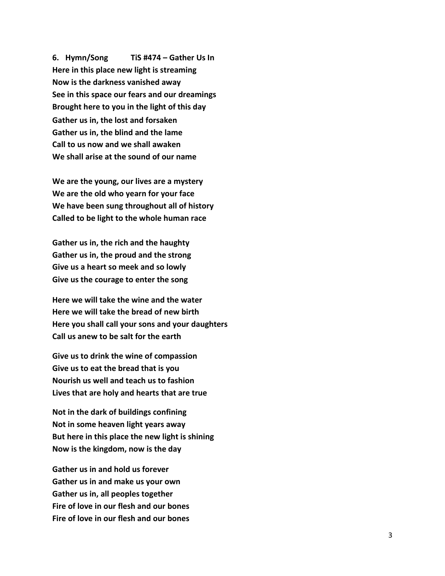**6. Hymn/Song TiS #474 – Gather Us In Here in this place new light is streaming Now is the darkness vanished away See in this space our fears and our dreamings Brought here to you in the light of this day Gather us in, the lost and forsaken Gather us in, the blind and the lame Call to us now and we shall awaken We shall arise at the sound of our name**

**We are the young, our lives are a mystery We are the old who yearn for your face We have been sung throughout all of history Called to be light to the whole human race**

**Gather us in, the rich and the haughty Gather us in, the proud and the strong Give us a heart so meek and so lowly Give us the courage to enter the song**

**Here we will take the wine and the water Here we will take the bread of new birth Here you shall call your sons and your daughters Call us anew to be salt for the earth**

**Give us to drink the wine of compassion Give us to eat the bread that is you Nourish us well and teach us to fashion Lives that are holy and hearts that are true**

**Not in the dark of buildings confining Not in some heaven light years away But here in this place the new light is shining Now is the kingdom, now is the day**

**Gather us in and hold us forever Gather us in and make us your own Gather us in, all peoples together Fire of love in our flesh and our bones Fire of love in our flesh and our bones**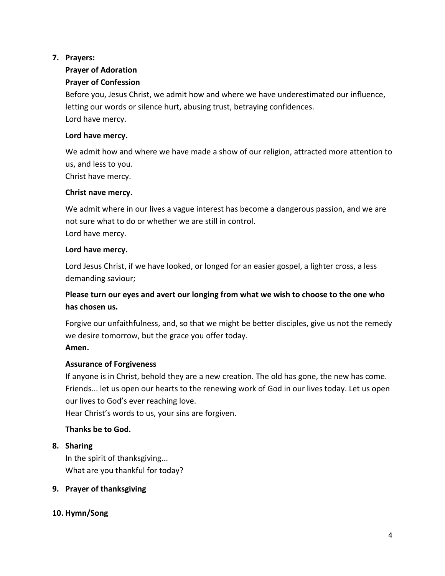# **7. Prayers:**

# **Prayer of Adoration**

# **Prayer of Confession**

Before you, Jesus Christ, we admit how and where we have underestimated our influence, letting our words or silence hurt, abusing trust, betraying confidences. Lord have mercy.

# **Lord have mercy.**

We admit how and where we have made a show of our religion, attracted more attention to us, and less to you. Christ have mercy.

# **Christ nave mercy.**

We admit where in our lives a vague interest has become a dangerous passion, and we are not sure what to do or whether we are still in control. Lord have mercy.

# **Lord have mercy.**

Lord Jesus Christ, if we have looked, or longed for an easier gospel, a lighter cross, a less demanding saviour;

# **Please turn our eyes and avert our longing from what we wish to choose to the one who has chosen us.**

Forgive our unfaithfulness, and, so that we might be better disciples, give us not the remedy we desire tomorrow, but the grace you offer today.

# **Amen.**

# **Assurance of Forgiveness**

If anyone is in Christ, behold they are a new creation. The old has gone, the new has come. Friends... let us open our hearts to the renewing work of God in our lives today. Let us open our lives to God's ever reaching love.

Hear Christ's words to us, your sins are forgiven.

# **Thanks be to God.**

# **8. Sharing**

In the spirit of thanksgiving... What are you thankful for today?

# **9. Prayer of thanksgiving**

# **10. Hymn/Song**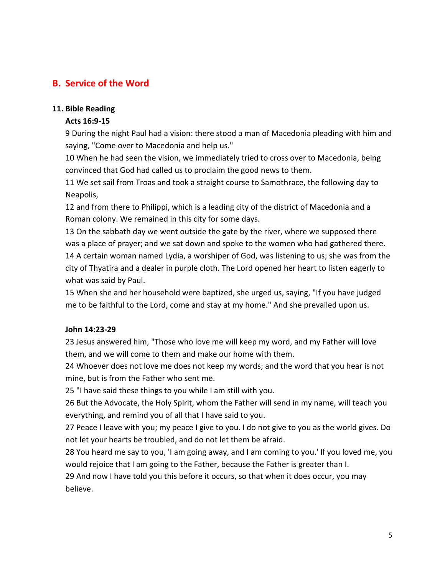# **B. Service of the Word**

## **11. Bible Reading**

# **Acts 16:9-15**

9 During the night Paul had a vision: there stood a man of Macedonia pleading with him and saying, "Come over to Macedonia and help us."

10 When he had seen the vision, we immediately tried to cross over to Macedonia, being convinced that God had called us to proclaim the good news to them.

11 We set sail from Troas and took a straight course to Samothrace, the following day to Neapolis,

12 and from there to Philippi, which is a leading city of the district of Macedonia and a Roman colony. We remained in this city for some days.

13 On the sabbath day we went outside the gate by the river, where we supposed there was a place of prayer; and we sat down and spoke to the women who had gathered there. 14 A certain woman named Lydia, a worshiper of God, was listening to us; she was from the city of Thyatira and a dealer in purple cloth. The Lord opened her heart to listen eagerly to what was said by Paul.

15 When she and her household were baptized, she urged us, saying, "If you have judged me to be faithful to the Lord, come and stay at my home." And she prevailed upon us.

# **John 14:23-29**

23 Jesus answered him, "Those who love me will keep my word, and my Father will love them, and we will come to them and make our home with them.

24 Whoever does not love me does not keep my words; and the word that you hear is not mine, but is from the Father who sent me.

25 "I have said these things to you while I am still with you.

26 But the Advocate, the Holy Spirit, whom the Father will send in my name, will teach you everything, and remind you of all that I have said to you.

27 Peace I leave with you; my peace I give to you. I do not give to you as the world gives. Do not let your hearts be troubled, and do not let them be afraid.

28 You heard me say to you, 'I am going away, and I am coming to you.' If you loved me, you would rejoice that I am going to the Father, because the Father is greater than I.

29 And now I have told you this before it occurs, so that when it does occur, you may believe.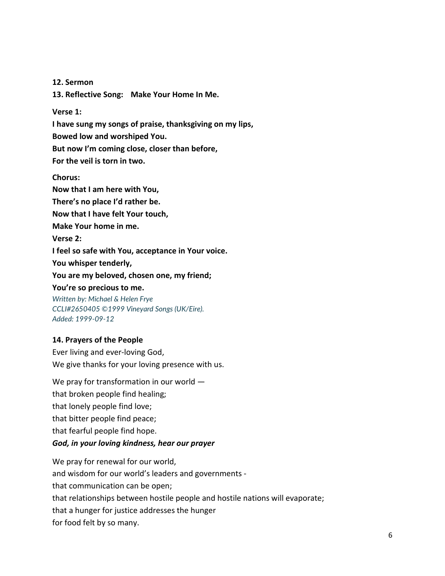**12. Sermon**

**13. Reflective Song: Make Your Home In Me.**

#### **Verse 1:**

**I have sung my songs of praise, thanksgiving on my lips,** 

**Bowed low and worshiped You.** 

**But now I'm coming close, closer than before,** 

**For the veil is torn in two.** 

#### **Chorus:**

**Now that I am here with You, There's no place I'd rather be. Now that I have felt Your touch, Make Your home in me. Verse 2: I feel so safe with You, acceptance in Your voice. You whisper tenderly, You are my beloved, chosen one, my friend; You're so precious to me.**

*Written by: Michael & Helen Frye CCLI#2650405 ©1999 Vineyard Songs (UK/Eire). Added: 1999-09-12*

#### **14. Prayers of the People**

Ever living and ever-loving God, We give thanks for your loving presence with us.

We pray for transformation in our world that broken people find healing; that lonely people find love; that bitter people find peace; that fearful people find hope. *God, in your loving kindness, hear our prayer*

We pray for renewal for our world, and wisdom for our world's leaders and governments that communication can be open; that relationships between hostile people and hostile nations will evaporate; that a hunger for justice addresses the hunger for food felt by so many.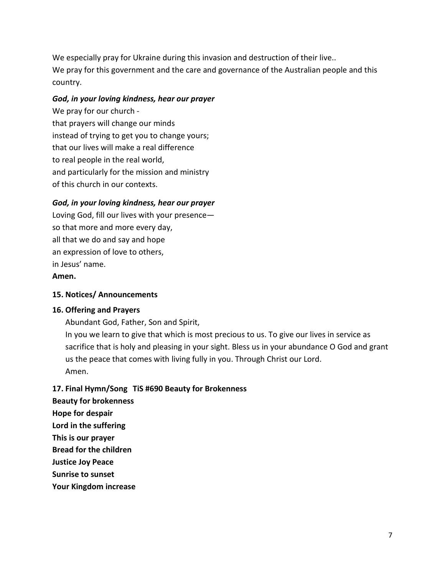We especially pray for Ukraine during this invasion and destruction of their live.. We pray for this government and the care and governance of the Australian people and this country.

## *God, in your loving kindness, hear our prayer*

We pray for our church that prayers will change our minds instead of trying to get you to change yours; that our lives will make a real difference to real people in the real world, and particularly for the mission and ministry of this church in our contexts.

# *God, in your loving kindness, hear our prayer*

Loving God, fill our lives with your presence so that more and more every day, all that we do and say and hope an expression of love to others, in Jesus' name.

#### **Amen.**

#### **15. Notices/ Announcements**

#### **16. Offering and Prayers**

Abundant God, Father, Son and Spirit, In you we learn to give that which is most precious to us. To give our lives in service as sacrifice that is holy and pleasing in your sight. Bless us in your abundance O God and grant us the peace that comes with living fully in you. Through Christ our Lord. Amen.

#### **17. Final Hymn/Song TiS #690 Beauty for Brokenness**

**Beauty for brokenness** 

**Hope for despair** 

**Lord in the suffering** 

**This is our prayer** 

**Bread for the children** 

**Justice Joy Peace** 

**Sunrise to sunset** 

**Your Kingdom increase**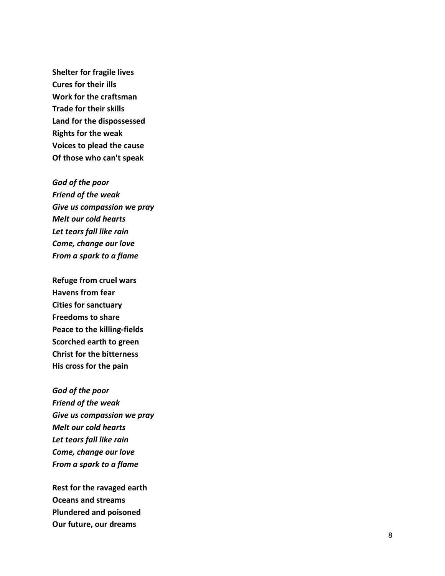**Shelter for fragile lives Cures for their ills Work for the craftsman Trade for their skills Land for the dispossessed Rights for the weak Voices to plead the cause Of those who can't speak** 

*God of the poor Friend of the weak Give us compassion we pray Melt our cold hearts Let tears fall like rain Come, change our love From a spark to a flame* 

**Refuge from cruel wars Havens from fear Cities for sanctuary Freedoms to share Peace to the killing -fields Scorched earth to green Christ for the bitterness His cross for the pain** 

*God of the poor Friend of the weak Give us compassion we pray Melt our cold hearts Let tears fall like rain Come, change our love From a spark to a flame* 

**Rest for the ravaged earth Oceans and streams Plundered and poisoned Our future, our dreams**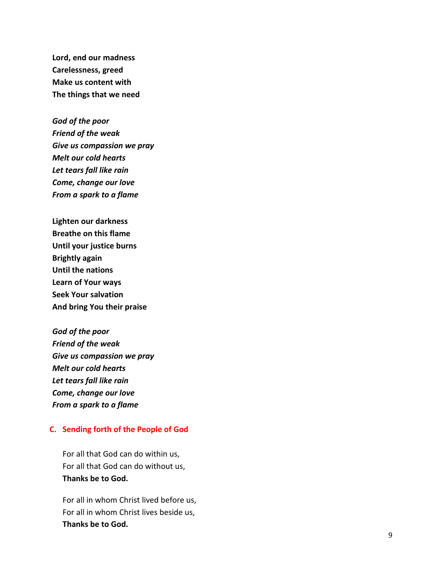**Lord, end our madness Carelessness, greed Make us content with The things that we need** 

*God of the poor Friend of the weak Give us compassion we pray Melt our cold hearts Let tears fall like rain Come, change our love From a spark to a flame* 

**Lighten our darkness Breathe on this flame Until your justice burns Brightly again Until the nations Learn of Your ways Seek Your salvation And bring You their praise** 

*God of the poor Friend of the weak Give us compassion we pray Melt our cold hearts Let tears fall like rain Come, change our love From a spark to a flame*

#### **C. Sending forth of the People of God**

For all that God can do within us, For all that God can do without us, **Thanks be to God.**

For all in whom Christ lived before us, For all in whom Christ lives beside us, **Thanks be to God.**